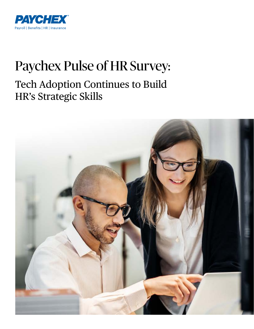

## Paychex Pulse of HR Survey:

## Tech Adoption Continues to Build HR's Strategic Skills

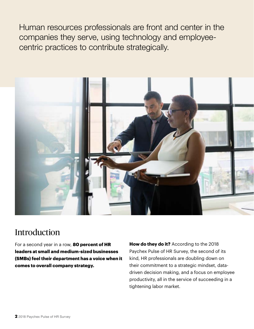Human resources professionals are front and center in the companies they serve, using technology and employeecentric practices to contribute strategically.



### Introduction

For a second year in a row, **80 percent of HR leaders at small and medium-sized businesses (SMBs) feel their department has a voice when it comes to overall company strategy.**

**How do they do it?** According to the 2018 Paychex Pulse of HR Survey, the second of its kind, HR professionals are doubling down on their commitment to a strategic mindset, datadriven decision making, and a focus on employee productivity, all in the service of succeeding in a tightening labor market.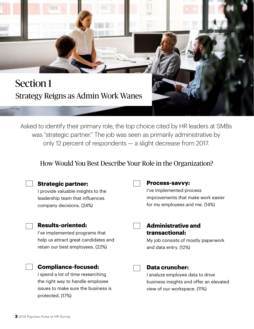## Section 1 Strategy Reigns as Admin Work Wanes

Asked to identify their primary role, the top choice cited by HR leaders at SMBs was "strategic partner." The job was seen as primarily administrative by only 12 percent of respondents — a slight decrease from 2017.

#### How Would You Best Describe Your Role in the Organization?

| <b>Strategic partner:</b><br>I provide valuable insights to the<br>leadership team that influences<br>company decisions. (24%)                                 | <b>Process-savvy:</b><br>I've implemented process<br>improvements that make work easier<br>for my employees and me. (14%)            |
|----------------------------------------------------------------------------------------------------------------------------------------------------------------|--------------------------------------------------------------------------------------------------------------------------------------|
| <b>Results-oriented:</b><br>I've implemented programs that<br>help us attract great candidates and<br>retain our best employees. (22%)                         | <b>Administrative and</b><br>transactional:<br>My job consists of mostly paperwork<br>and data entry. (12%)                          |
| <b>Compliance-focused:</b><br>I spend a lot of time researching<br>the right way to handle employee<br>issues to make sure the business is<br>protected. (17%) | <b>Data cruncher:</b><br>I analyze employee data to drive<br>business insights and offer an elevated<br>view of our workspace. (11%) |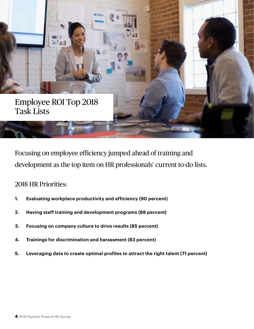

Focusing on employee efficiency jumped ahead of training and development as the top item on HR professionals' current to-do lists.

#### 2018 HR Priorities:

- **1. Evaluating workplace productivity and efficiency (90 percent)**
- **2. Having staff training and development programs (88 percent)**
- **3. Focusing on company culture to drive results (85 percent)**
- **4. Trainings for discrimination and harassment (83 percent)**
- **5. Leveraging data to create optimal profiles to attract the right talent (71 percent)**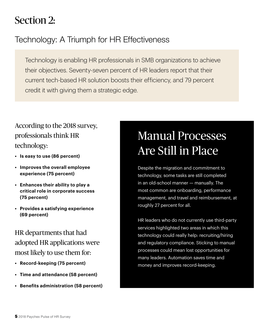## Section 2:

## Technology: A Triumph for HR Effectiveness

Technology is enabling HR professionals in SMB organizations to achieve their objectives. Seventy-seven percent of HR leaders report that their current tech-based HR solution boosts their efficiency, and 79 percent credit it with giving them a strategic edge.

### According to the 2018 survey, professionals think HR technology:

- **• Is easy to use (86 percent)**
- **• Improves the overall employee experience (75 percent)**
- **• Enhances their ability to play a critical role in corporate success (75 percent)**
- **• Provides a satisfying experience (69 percent)**

HR departments that had adopted HR applications were most likely to use them for:

- **• Record-keeping (75 percent)**
- **• Time and attendance (58 percent)**
- **• Benefits administration (58 percent)**

## Manual Processes Are Still in Place

Despite the migration and commitment to technology, some tasks are still completed in an old-school manner — manually. The most common are onboarding, performance management, and travel and reimbursement, at roughly 27 percent for all.

HR leaders who do not currently use third-party services highlighted two areas in which this technology could really help: recruiting/hiring and regulatory compliance. Sticking to manual processes could mean lost opportunities for many leaders. Automation saves time and money and improves record-keeping.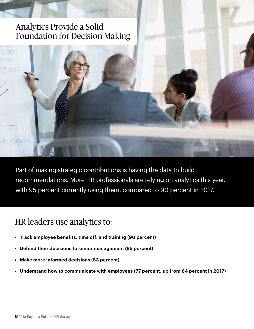### Analytics Provide a Solid Foundation for Decision Making



Part of making strategic contributions is having the data to build recommendations. More HR professionals are relying on analytics this year, with 95 percent currently using them, compared to 90 percent in 2017.

### HR leaders use analytics to:

- **• Track employee benefits, time off, and training (90 percent)**
- **• Defend their decisions to senior management (85 percent)**
- **• Make more informed decisions (83 percent)**
- **• Understand how to communicate with employees (77 percent, up from 64 percent in 2017)**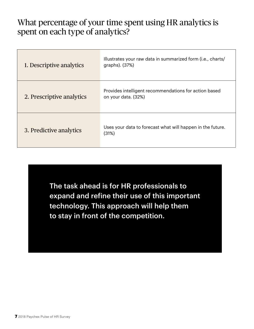### What percentage of your time spent using HR analytics is spent on each type of analytics?

| 1. Descriptive analytics  | Illustrates your raw data in summarized form (i.e., charts/<br>graphs). (37%) |
|---------------------------|-------------------------------------------------------------------------------|
| 2. Prescriptive analytics | Provides intelligent recommendations for action based<br>on your data. (32%)  |
| 3. Predictive analytics   | Uses your data to forecast what will happen in the future.<br>(31%)           |

The task ahead is for HR professionals to expand and refine their use of this important technology. This approach will help them to stay in front of the competition.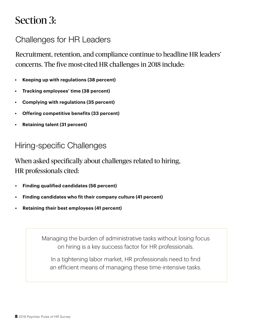## Section 3:

### Challenges for HR Leaders

Recruitment, retention, and compliance continue to headline HR leaders' concerns. The five most-cited HR challenges in 2018 include:

- **• Keeping up with regulations (38 percent)**
- **• Tracking employees' time (38 percent)**
- **• Complying with regulations (35 percent)**
- **• Offering competitive benefits (33 percent)**
- **• Retaining talent (31 percent)**

### Hiring-specific Challenges

When asked specifically about challenges related to hiring, HR professionals cited:

- **• Finding qualified candidates (56 percent)**
- **• Finding candidates who fit their company culture (41 percent)**
- **• Retaining their best employees (41 percent)**

Managing the burden of administrative tasks without losing focus on hiring is a key success factor for HR professionals.

In a tightening labor market, HR professionals need to find an efficient means of managing these time-intensive tasks.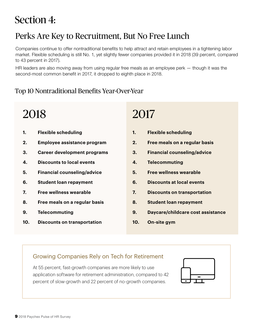## Section 4:

## Perks Are Key to Recruitment, But No Free Lunch

Companies continue to offer nontraditional benefits to help attract and retain employees in a tightening labor market. Flexible scheduling is still No. 1, yet slightly fewer companies provided it in 2018 (39 percent, compared to 43 percent in 2017).

HR leaders are also moving away from using regular free meals as an employee perk — though it was the second-most common benefit in 2017, it dropped to eighth place in 2018.

#### Top 10 Nontraditional Benefits Year-Over-Year

## 2018

- **1. Flexible scheduling**
- **2. Employee assistance program**
- **3. Career development programs**
- **4. Discounts to local events**
- **5. Financial counseling/advice**
- **6. Student loan repayment**
- **7. Free wellness wearable**
- **8. Free meals on a regular basis**
- **9. Telecommuting**
- **10. Discounts on transportation**

## 2017

- **1. Flexible scheduling**
- **2. Free meals on a regular basis**
- **3. Financial counseling/advice**
- **4. Telecommuting**
- **5. Free wellness wearable**
- **6. Discounts at local events**
- **7. Discounts on transportation**
- **8. Student loan repayment**
- **9. Daycare/childcare cost assistance**
- **10. On-site gym**

#### Growing Companies Rely on Tech for Retirement

At 55 percent, fast-growth companies are more likely to use application software for retirement administration, compared to 42 percent of slow-growth and 22 percent of no-growth companies.

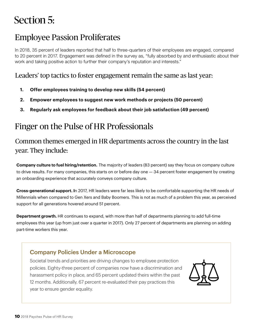## Section 5:

### Employee Passion Proliferates

In 2018, 35 percent of leaders reported that half to three-quarters of their employees are engaged, compared to 20 percent in 2017. Engagement was defined in the survey as, "fully absorbed by and enthusiastic about their work and taking positive action to further their company's reputation and interests."

#### Leaders' top tactics to foster engagement remain the same as last year:

- **1. Offer employees training to develop new skills (54 percent)**
- **2. Empower employees to suggest new work methods or projects (50 percent)**
- **3. Regularly ask employees for feedback about their job satisfaction (49 percent)**

## Finger on the Pulse of HR Professionals

#### Common themes emerged in HR departments across the country in the last year. They include:

**Company culture to fuel hiring/retention.** The majority of leaders (83 percent) say they focus on company culture to drive results. For many companies, this starts on or before day one — 34 percent foster engagement by creating an onboarding experience that accurately conveys company culture.

**Cross-generational support. I**n 2017, HR leaders were far less likely to be comfortable supporting the HR needs of Millennials when compared to Gen Xers and Baby Boomers. This is not as much of a problem this year, as perceived support for all generations hovered around 51 percent.

**Department growth.** HR continues to expand, with more than half of departments planning to add full-time employees this year (up from just over a quarter in 2017). Only 27 percent of departments are planning on adding part-time workers this year.

#### Company Policies Under a Microscope

Societal trends and priorities are driving changes to employee protection policies. Eighty-three percent of companies now have a discrimination and harassment policy in place, and 65 percent updated theirs within the past 12 months. Additionally, 67 percent re-evaluated their pay practices this year to ensure gender equality.

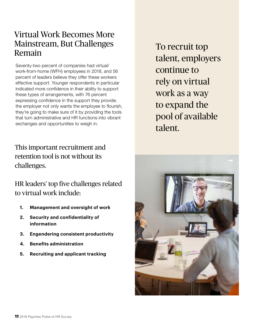### Virtual Work Becomes More Mainstream, But Challenges Remain

Seventy-two percent of companies had virtual/ work-from-home (WFH) employees in 2018, and 56 percent of leaders believe they offer these workers effective support. Younger respondents in particular indicated more confidence in their ability to support these types of arrangements, with 76 percent expressing confidence in the support they provide. the employer not only wants the employee to flourish, they're going to make sure of it by providing the tools that turn administrative and HR functions into vibrant exchanges and opportunities to weigh in.

This important recruitment and retention tool is not without its challenges.

HR leaders' top five challenges related to virtual work include:

- **1. Management and oversight of work**
- **2. Security and confidentiality of information**
- **3. Engendering consistent productivity**
- **4. Benefits administration**
- **5. Recruiting and applicant tracking**

To recruit top talent, employers continue to rely on virtual work as a way to expand the pool of available talent.

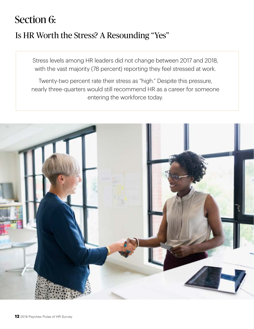## Section 6:

## Is HR Worth the Stress? A Resounding "Yes"

Stress levels among HR leaders did not change between 2017 and 2018, with the vast majority (78 percent) reporting they feel stressed at work.

Twenty-two percent rate their stress as "high." Despite this pressure, nearly three-quarters would still recommend HR as a career for someone entering the workforce today.